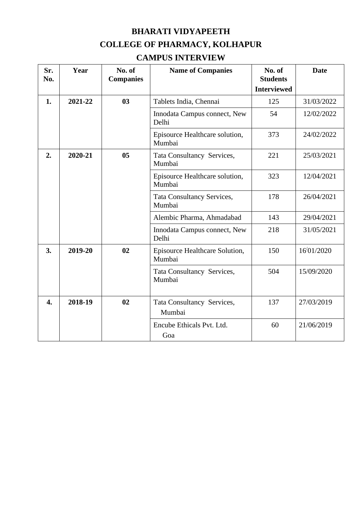## **BHARATI VIDYAPEETH COLLEGE OF PHARMACY, KOLHAPUR**

### **CAMPUS INTERVIEW**

| Sr.<br>No.       | Year          | No. of<br><b>Companies</b> | <b>Name of Companies</b>                 | No. of<br><b>Students</b><br><b>Interviewed</b> | <b>Date</b> |
|------------------|---------------|----------------------------|------------------------------------------|-------------------------------------------------|-------------|
| 1.               | 2021-22       | 03                         | Tablets India, Chennai                   | 125                                             | 31/03/2022  |
|                  |               |                            | Innodata Campus connect, New<br>Delhi    | 54                                              | 12/02/2022  |
|                  |               |                            | Episource Healthcare solution,<br>Mumbai | 373                                             | 24/02/2022  |
| 2.               | 2020-21       | 0 <sub>5</sub>             | Tata Consultancy Services,<br>Mumbai     | 221                                             | 25/03/2021  |
|                  |               |                            | Episource Healthcare solution,<br>Mumbai | 323                                             | 12/04/2021  |
|                  |               |                            | Tata Consultancy Services,<br>Mumbai     | 178                                             | 26/04/2021  |
|                  |               |                            | Alembic Pharma, Ahmadabad                | 143                                             | 29/04/2021  |
|                  |               |                            | Innodata Campus connect, New<br>Delhi    | 218                                             | 31/05/2021  |
| 3.               | 02<br>2019-20 |                            | Episource Healthcare Solution,<br>Mumbai | 150                                             | 16/01/2020  |
|                  |               |                            | Tata Consultancy Services,<br>Mumbai     | 504                                             | 15/09/2020  |
| $\overline{4}$ . | 2018-19       | 02                         | Tata Consultancy Services,<br>Mumbai     | 137                                             | 27/03/2019  |
|                  |               |                            | Encube Ethicals Pvt. Ltd.<br>Goa         | 60                                              | 21/06/2019  |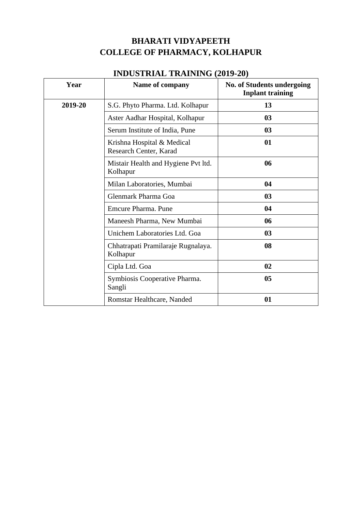### **BHARATI VIDYAPEETH COLLEGE OF PHARMACY, KOLHAPUR**

## **INDUSTRIAL TRAINING (2019-20)**

| Year    | Name of company                                      | <b>No. of Students undergoing</b><br><b>Inplant training</b> |  |
|---------|------------------------------------------------------|--------------------------------------------------------------|--|
| 2019-20 | S.G. Phyto Pharma. Ltd. Kolhapur                     | 13                                                           |  |
|         | Aster Aadhar Hospital, Kolhapur                      | 03                                                           |  |
|         | Serum Institute of India, Pune                       | 03                                                           |  |
|         | Krishna Hospital & Medical<br>Research Center, Karad | 01                                                           |  |
|         | Mistair Health and Hygiene Pvt ltd.<br>Kolhapur      | 06                                                           |  |
|         | Milan Laboratories, Mumbai                           | 04                                                           |  |
|         | Glenmark Pharma Goa                                  | 03                                                           |  |
|         | Emcure Pharma, Pune                                  | 04                                                           |  |
|         | Maneesh Pharma, New Mumbai                           | 06                                                           |  |
|         | Unichem Laboratories Ltd. Goa                        | 03                                                           |  |
|         | Chhatrapati Pramilaraje Rugnalaya.<br>Kolhapur       | 08                                                           |  |
|         | Cipla Ltd. Goa                                       | 02                                                           |  |
|         | Symbiosis Cooperative Pharma.<br>Sangli              | 05                                                           |  |
|         | Romstar Healthcare, Nanded                           | 01                                                           |  |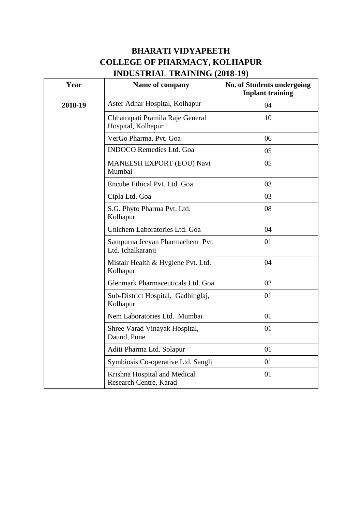## **BHARATI VIDYAPEETH COLLEGE OF PHARMACY, KOLHAPUR INDUSTRIAL TRAINING (2018-19)**

| Year    | Name of company                                        | <b>No. of Students undergoing</b><br><b>Inplant training</b> |  |
|---------|--------------------------------------------------------|--------------------------------------------------------------|--|
| 2018-19 | Aster Adhar Hospital, Kolhapur                         | 04                                                           |  |
|         | Chhatrapati Pramila Raje General<br>Hospital, Kolhapur | 10                                                           |  |
|         | VerGo Pharma, Pvt. Goa                                 | 06                                                           |  |
|         | <b>INDOCO Remedies Ltd. Goa</b>                        | 05                                                           |  |
|         | MANEESH EXPORT (EOU) Navi<br>Mumbai                    | 05                                                           |  |
|         | Encube Ethical Pvt. Ltd. Goa                           | 03                                                           |  |
|         | Cipla Ltd. Goa                                         | 03                                                           |  |
|         | S.G. Phyto Pharma Pvt. Ltd.<br>Kolhapur                | 08                                                           |  |
|         | Unichem Laboratories Ltd. Goa                          | 04                                                           |  |
|         | Sampurna Jeevan Pharmachem Pvt.<br>Ltd. Ichalkaranji   | 01                                                           |  |
|         | Mistair Health & Hygiene Pvt. Ltd.<br>Kolhapur         | 04                                                           |  |
|         | Glenmark Pharmaceuticals Ltd. Goa                      | 02                                                           |  |
|         | Sub-District Hospital, Gadhinglaj,<br>Kolhapur         | 01                                                           |  |
|         | Nem Laboratories Ltd. Mumbai                           | 01                                                           |  |
|         | Shree Varad Vinayak Hospital,<br>Daund, Pune           | 01                                                           |  |
|         | Aditi Pharma Ltd. Solapur                              | 01                                                           |  |
|         | Symbiosis Co-operative Ltd. Sangli                     | 01                                                           |  |
|         | Krishna Hospital and Medical<br>Research Centre, Karad | 01                                                           |  |